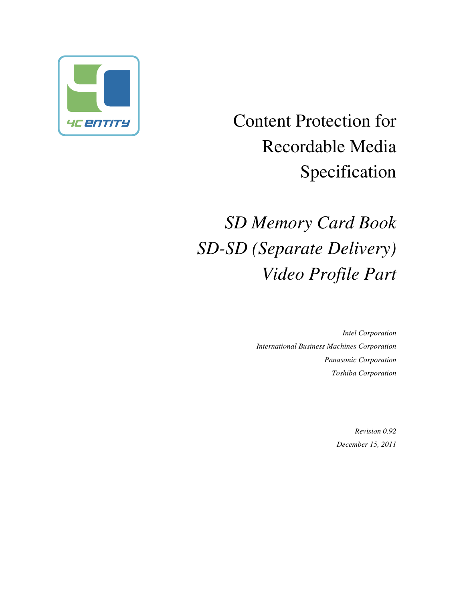

# Content Protection for Recordable Media Specification

# *SD Memory Card Book SD-SD (Separate Delivery) Video Profile Part*

*Intel Corporation International Business Machines Corporation Panasonic Corporation Toshiba Corporation* 

> *Revision 0.92 December 15, 2011*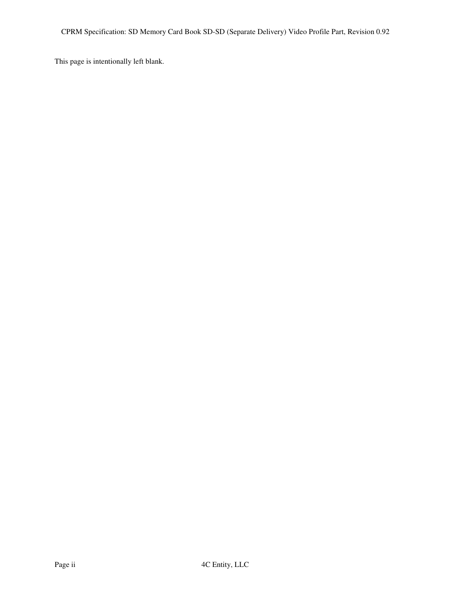This page is intentionally left blank.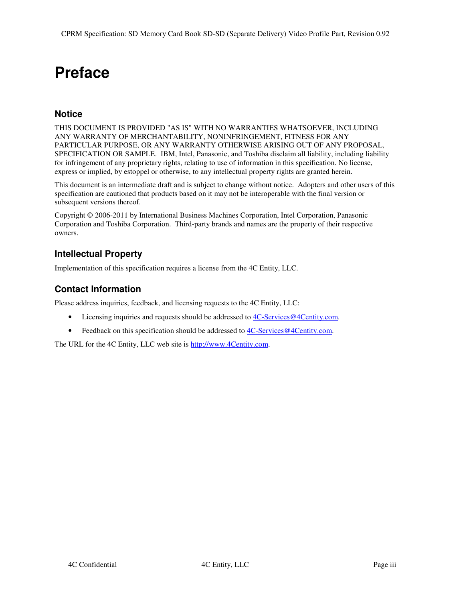## **Preface**

## **Notice**

THIS DOCUMENT IS PROVIDED "AS IS" WITH NO WARRANTIES WHATSOEVER, INCLUDING ANY WARRANTY OF MERCHANTABILITY, NONINFRINGEMENT, FITNESS FOR ANY PARTICULAR PURPOSE, OR ANY WARRANTY OTHERWISE ARISING OUT OF ANY PROPOSAL, SPECIFICATION OR SAMPLE. IBM, Intel, Panasonic, and Toshiba disclaim all liability, including liability for infringement of any proprietary rights, relating to use of information in this specification. No license, express or implied, by estoppel or otherwise, to any intellectual property rights are granted herein.

This document is an intermediate draft and is subject to change without notice. Adopters and other users of this specification are cautioned that products based on it may not be interoperable with the final version or subsequent versions thereof.

Copyright © 2006-2011 by International Business Machines Corporation, Intel Corporation, Panasonic Corporation and Toshiba Corporation. Third-party brands and names are the property of their respective owners.

## **Intellectual Property**

Implementation of this specification requires a license from the 4C Entity, LLC.

## **Contact Information**

Please address inquiries, feedback, and licensing requests to the 4C Entity, LLC:

- Licensing inquiries and requests should be addressed to 4C-Services@4Centity.com.
- Feedback on this specification should be addressed to  $4C-$ Services@4Centity.com.

The URL for the 4C Entity, LLC web site is http://www.4Centity.com.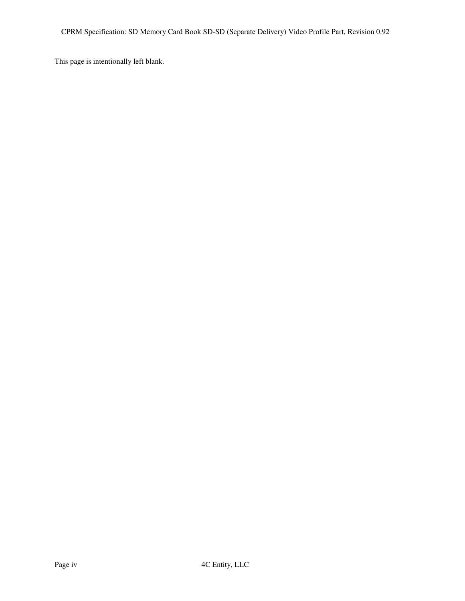This page is intentionally left blank.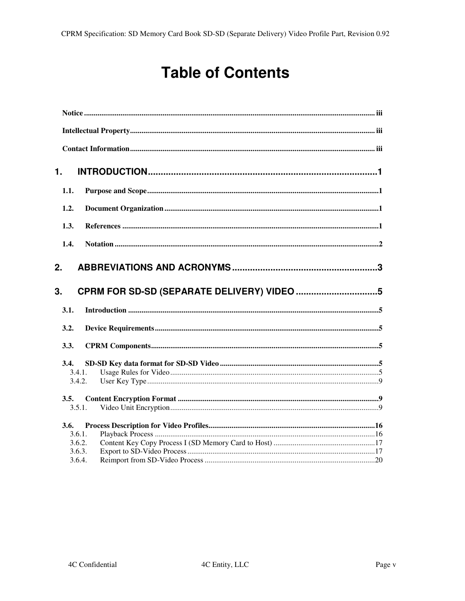## **Table of Contents**

| $\mathbf 1$ . |                                            |
|---------------|--------------------------------------------|
| 1.1.          |                                            |
| 1.2.          |                                            |
| 1.3.          |                                            |
| 1.4.          |                                            |
| 2.            |                                            |
|               |                                            |
|               |                                            |
| 3.            | CPRM FOR SD-SD (SEPARATE DELIVERY) VIDEO 5 |
| 3.1.          |                                            |
| 3.2.          |                                            |
| 3.3.          |                                            |
| 3.4.          |                                            |
|               | 3.4.1.<br>3.4.2.                           |
| 3.5.          |                                            |
|               | 3.5.1.                                     |
| 3.6.          |                                            |
|               | 3.6.1.                                     |
|               | 3.6.2.                                     |
|               | 3.6.3.<br>3.6.4.                           |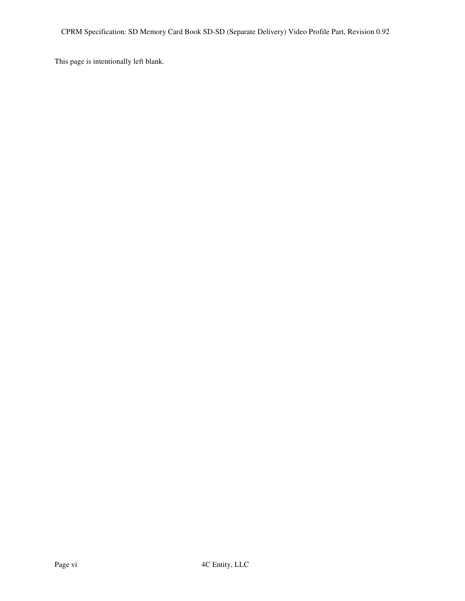This page is intentionally left blank.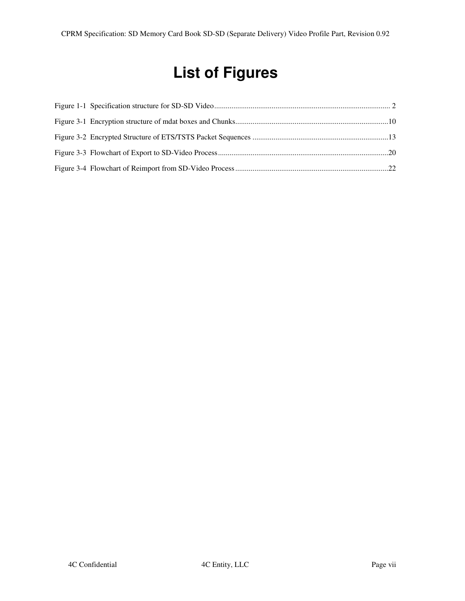## **List of Figures**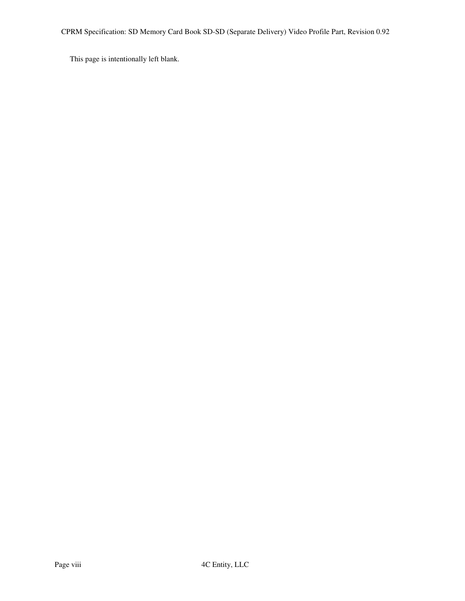This page is intentionally left blank.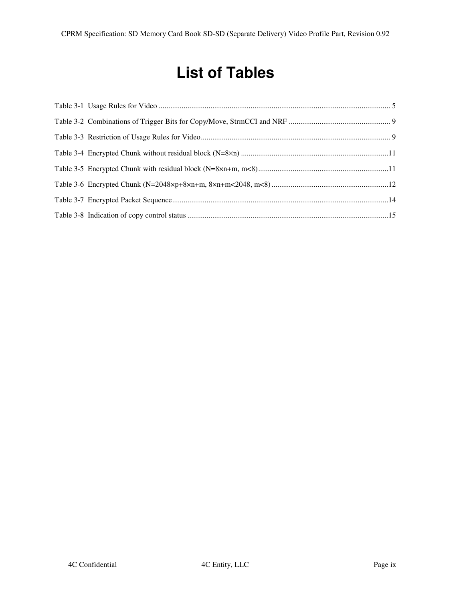## **List of Tables**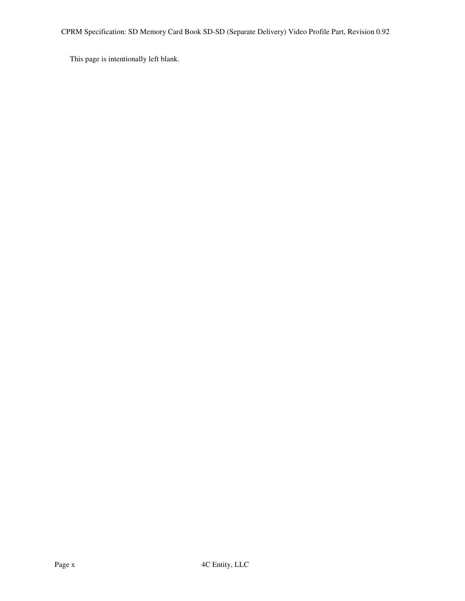This page is intentionally left blank.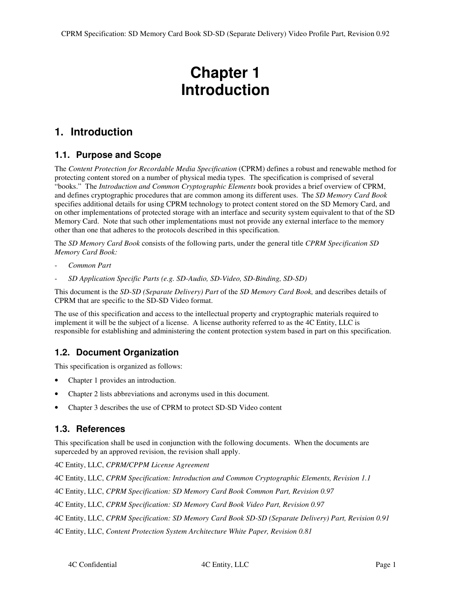## **Chapter 1 Introduction**

## **1. Introduction**

## **1.1. Purpose and Scope**

The *Content Protection for Recordable Media Specification* (CPRM) defines a robust and renewable method for protecting content stored on a number of physical media types. The specification is comprised of several "books." The *Introduction and Common Cryptographic Elements* book provides a brief overview of CPRM, and defines cryptographic procedures that are common among its different uses. The *SD Memory Card Book* specifies additional details for using CPRM technology to protect content stored on the SD Memory Card, and on other implementations of protected storage with an interface and security system equivalent to that of the SD Memory Card. Note that such other implementations must not provide any external interface to the memory other than one that adheres to the protocols described in this specification.

The *SD Memory Card Book* consists of the following parts, under the general title *CPRM Specification SD Memory Card Book:* 

- *Common Part*
- *SD Application Specific Parts (e.g. SD-Audio, SD-Video, SD-Binding, SD-SD)*

This document is the *SD-SD (Separate Delivery) Part* of the *SD Memory Card Book,* and describes details of CPRM that are specific to the SD-SD Video format.

The use of this specification and access to the intellectual property and cryptographic materials required to implement it will be the subject of a license. A license authority referred to as the 4C Entity, LLC is responsible for establishing and administering the content protection system based in part on this specification.

## **1.2. Document Organization**

This specification is organized as follows:

- Chapter 1 provides an introduction.
- Chapter 2 lists abbreviations and acronyms used in this document.
- Chapter 3 describes the use of CPRM to protect SD-SD Video content

### **1.3. References**

This specification shall be used in conjunction with the following documents. When the documents are superceded by an approved revision, the revision shall apply.

4C Entity, LLC, *CPRM/CPPM License Agreement* 

4C Entity, LLC, *CPRM Specification: Introduction and Common Cryptographic Elements, Revision 1.1*

4C Entity, LLC, *CPRM Specification: SD Memory Card Book Common Part, Revision 0.97*

4C Entity, LLC, *CPRM Specification: SD Memory Card Book Video Part, Revision 0.97* 

4C Entity, LLC, *CPRM Specification: SD Memory Card Book SD-SD (Separate Delivery) Part, Revision 0.91* 

4C Entity, LLC, *Content Protection System Architecture White Paper, Revision 0.81*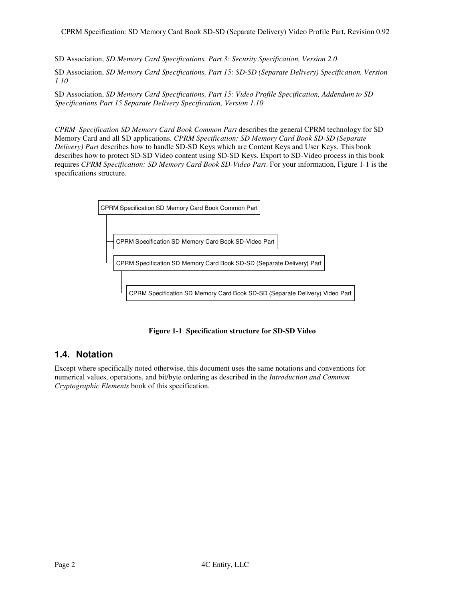SD Association, *SD Memory Card Specifications, Part 3: Security Specification, Version 2.0*

SD Association, *SD Memory Card Specifications, Part 15: SD-SD (Separate Delivery) Specification, Version 1.10* 

SD Association, *SD Memory Card Specifications, Part 15: Video Profile Specification, Addendum to SD Specifications Part 15 Separate Delivery Specification, Version 1.10* 

*CPRM Specification SD Memory Card Book Common Part* describes the general CPRM technology for SD Memory Card and all SD applications. *CPRM Specification: SD Memory Card Book SD-SD (Separate Delivery) Part* describes how to handle SD-SD Keys which are Content Keys and User Keys. This book describes how to protect SD-SD Video content using SD-SD Keys. Export to SD-Video process in this book requires *CPRM Specification: SD Memory Card Book SD-Video Part*. For your information, Figure 1-1 is the specifications structure.



**Figure 1-1 Specification structure for SD-SD Video**

### **1.4. Notation**

Except where specifically noted otherwise, this document uses the same notations and conventions for numerical values, operations, and bit/byte ordering as described in the *Introduction and Common Cryptographic Elements* book of this specification.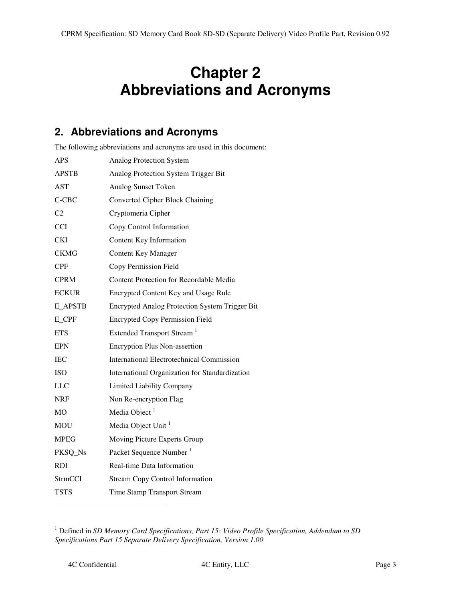## **Chapter 2 Abbreviations and Acronyms**

## **2. Abbreviations and Acronyms**

The following abbreviations and acronyms are used in this document:

| APS            | <b>Analog Protection System</b>                |
|----------------|------------------------------------------------|
| <b>APSTB</b>   | Analog Protection System Trigger Bit           |
| <b>AST</b>     | Analog Sunset Token                            |
| C-CBC          | <b>Converted Cipher Block Chaining</b>         |
| C <sub>2</sub> | Cryptomeria Cipher                             |
| <b>CCI</b>     | Copy Control Information                       |
| <b>CKI</b>     | Content Key Information                        |
| <b>CKMG</b>    | <b>Content Key Manager</b>                     |
| <b>CPF</b>     | Copy Permission Field                          |
| <b>CPRM</b>    | <b>Content Protection for Recordable Media</b> |
| <b>ECKUR</b>   | Encrypted Content Key and Usage Rule           |
| <b>E_APSTB</b> | Encrypted Analog Protection System Trigger Bit |
| E CPF          | <b>Encrypted Copy Permission Field</b>         |
| <b>ETS</b>     | Extended Transport Stream <sup>1</sup>         |
| <b>EPN</b>     | <b>Encryption Plus Non-assertion</b>           |
| <b>IEC</b>     | International Electrotechnical Commission      |
| <b>ISO</b>     | International Organization for Standardization |
| <b>LLC</b>     | Limited Liability Company                      |
| <b>NRF</b>     | Non Re-encryption Flag                         |
| M <sub>O</sub> | Media Object <sup>1</sup>                      |
| <b>MOU</b>     | Media Object Unit <sup>1</sup>                 |
| <b>MPEG</b>    | Moving Picture Experts Group                   |
| PKSQ_Ns        | Packet Sequence Number <sup>1</sup>            |
| <b>RDI</b>     | Real-time Data Information                     |
| <b>StrmCCI</b> | <b>Stream Copy Control Information</b>         |
| <b>TSTS</b>    | <b>Time Stamp Transport Stream</b>             |

<sup>&</sup>lt;sup>1</sup> Defined in *SD Memory Card Specifications, Part 15: Video Profile Specification, Addendum to SD Specifications Part 15 Separate Delivery Specification, Version 1.00*

j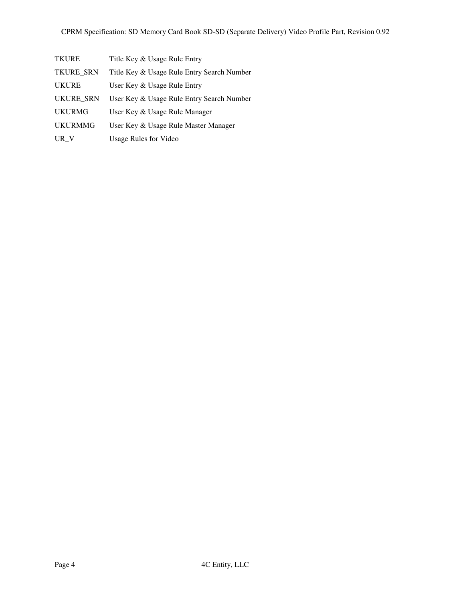| <b>TKURE</b>     | Title Key & Usage Rule Entry               |
|------------------|--------------------------------------------|
| <b>TKURE SRN</b> | Title Key & Usage Rule Entry Search Number |
| <b>UKURE</b>     | User Key & Usage Rule Entry                |
| <b>UKURE SRN</b> | User Key & Usage Rule Entry Search Number  |
| <b>UKURMG</b>    | User Key & Usage Rule Manager              |
| <b>UKURMMG</b>   | User Key & Usage Rule Master Manager       |
| UR V             | Usage Rules for Video                      |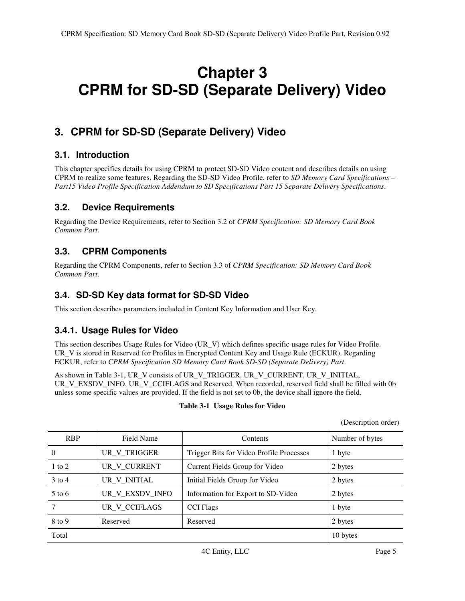## **Chapter 3 CPRM for SD-SD (Separate Delivery) Video**

## **3. CPRM for SD-SD (Separate Delivery) Video**

## **3.1. Introduction**

This chapter specifies details for using CPRM to protect SD-SD Video content and describes details on using CPRM to realize some features. Regarding the SD-SD Video Profile, refer to *SD Memory Card Specifications – Part15 Video Profile Specification Addendum to SD Specifications Part 15 Separate Delivery Specifications*.

## **3.2. Device Requirements**

Regarding the Device Requirements, refer to Section 3.2 of *CPRM Specification: SD Memory Card Book Common Part*.

### **3.3. CPRM Components**

Regarding the CPRM Components, refer to Section 3.3 of *CPRM Specification: SD Memory Card Book Common Part*.

## **3.4. SD-SD Key data format for SD-SD Video**

This section describes parameters included in Content Key Information and User Key.

## **3.4.1. Usage Rules for Video**

This section describes Usage Rules for Video (UR\_V) which defines specific usage rules for Video Profile. UR\_V is stored in Reserved for Profiles in Encrypted Content Key and Usage Rule (ECKUR). Regarding ECKUR, refer to *CPRM Specification SD Memory Card Book SD-SD (Separate Delivery) Part*.

As shown in Table 3-1, UR\_V consists of UR\_V\_TRIGGER, UR\_V\_CURRENT, UR\_V\_INITIAL, UR\_V\_EXSDV\_INFO, UR\_V\_CCIFLAGS and Reserved. When recorded, reserved field shall be filled with 0b unless some specific values are provided. If the field is not set to 0b, the device shall ignore the field.

#### **Table 3-1 Usage Rules for Video**

(Description order)

| <b>RBP</b>     | Field Name      | Contents                                 | Number of bytes |
|----------------|-----------------|------------------------------------------|-----------------|
| $\overline{0}$ | UR_V_TRIGGER    | Trigger Bits for Video Profile Processes | 1 byte          |
| $1$ to $2$     | UR_V_CURRENT    | Current Fields Group for Video           | 2 bytes         |
| $3$ to $4$     | UR_V_INITIAL    | Initial Fields Group for Video           | 2 bytes         |
| $5$ to $6$     | UR V EXSDV INFO | Information for Export to SD-Video       | 2 bytes         |
|                | UR_V_CCIFLAGS   | <b>CCI Flags</b>                         | 1 byte          |
| 8 to 9         | Reserved        | Reserved                                 | 2 bytes         |
| Total          |                 |                                          | 10 bytes        |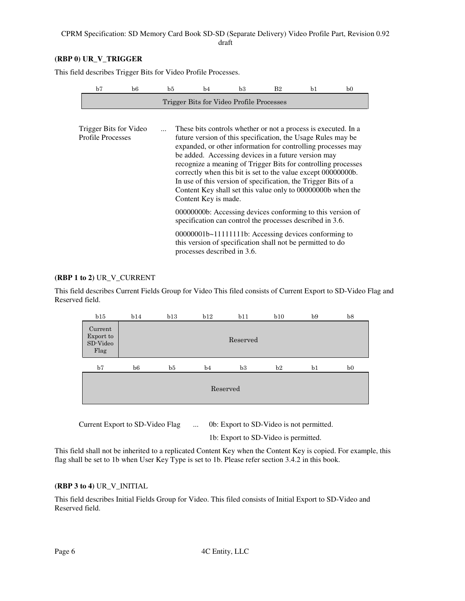#### **(RBP 0) UR\_V\_TRIGGER**

This field describes Trigger Bits for Video Profile Processes.

| b7                                                 | b6 | h5 | b4                                                                                                                                                                                                                                                                                                                                                                                                                                                                                                                                               | h <sub>3</sub> | B2 | b1 | b <sub>0</sub> |  |
|----------------------------------------------------|----|----|--------------------------------------------------------------------------------------------------------------------------------------------------------------------------------------------------------------------------------------------------------------------------------------------------------------------------------------------------------------------------------------------------------------------------------------------------------------------------------------------------------------------------------------------------|----------------|----|----|----------------|--|
| Trigger Bits for Video Profile Processes           |    |    |                                                                                                                                                                                                                                                                                                                                                                                                                                                                                                                                                  |                |    |    |                |  |
| Trigger Bits for Video<br><b>Profile Processes</b> |    |    | These bits controls whether or not a process is executed. In a<br>future version of this specification, the Usage Rules may be<br>expanded, or other information for controlling processes may<br>be added. Accessing devices in a future version may<br>recognize a meaning of Trigger Bits for controlling processes<br>correctly when this bit is set to the value except 000000000.<br>In use of this version of specification, the Trigger Bits of a<br>Content Key shall set this value only to 00000000b when the<br>Content Key is made. |                |    |    |                |  |
|                                                    |    |    | 00000000b: Accessing devices conforming to this version of<br>specification can control the processes described in 3.6.                                                                                                                                                                                                                                                                                                                                                                                                                          |                |    |    |                |  |
|                                                    |    |    | $00000001b-11111111b$ : Accessing devices conforming to<br>this version of specification shall not be permitted to do<br>processes described in 3.6.                                                                                                                                                                                                                                                                                                                                                                                             |                |    |    |                |  |

#### **(RBP 1 to 2)** UR\_V\_CURRENT

This field describes Current Fields Group for Video This filed consists of Current Export to SD-Video Flag and Reserved field.



Current Export to SD-Video Flag ... 0b: Export to SD-Video is not permitted.

1b: Export to SD-Video is permitted.

This field shall not be inherited to a replicated Content Key when the Content Key is copied. For example, this flag shall be set to 1b when User Key Type is set to 1b. Please refer section 3.4.2 in this book.

#### **(RBP 3 to 4)** UR\_V\_INITIAL

This field describes Initial Fields Group for Video. This filed consists of Initial Export to SD-Video and Reserved field.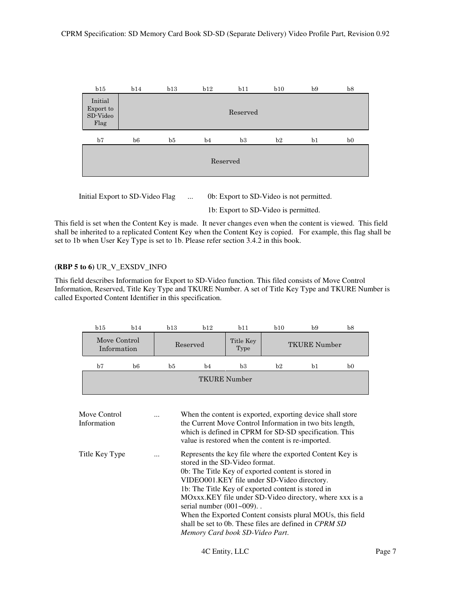

Initial Export to SD-Video Flag ... 0b: Export to SD-Video is not permitted. 1b: Export to SD-Video is permitted.

This field is set when the Content Key is made. It never changes even when the content is viewed. This field shall be inherited to a replicated Content Key when the Content Key is copied. For example, this flag shall be set to 1b when User Key Type is set to 1b. Please refer section 3.4.2 in this book.

#### **(RBP 5 to 6)** UR\_V\_EXSDV\_INFO

This field describes Information for Export to SD-Video function. This filed consists of Move Control Information, Reserved, Title Key Type and TKURE Number. A set of Title Key Type and TKURE Number is called Exported Content Identifier in this specification.

| h15                                                                                                                                                                                                                                                                                                                                                                                                                                                                                                                           | b14                                                                                                                                                                                                                                         | b13 | b12      | b11               | b10 | b <sub>9</sub> | b8             |
|-------------------------------------------------------------------------------------------------------------------------------------------------------------------------------------------------------------------------------------------------------------------------------------------------------------------------------------------------------------------------------------------------------------------------------------------------------------------------------------------------------------------------------|---------------------------------------------------------------------------------------------------------------------------------------------------------------------------------------------------------------------------------------------|-----|----------|-------------------|-----|----------------|----------------|
| Move Control<br>Information                                                                                                                                                                                                                                                                                                                                                                                                                                                                                                   |                                                                                                                                                                                                                                             |     | Reserved | Title Key<br>Type |     | TKURE Number   |                |
| b7                                                                                                                                                                                                                                                                                                                                                                                                                                                                                                                            | b6.                                                                                                                                                                                                                                         | h5  | b4       | h3                | b2  | b1             | b <sub>0</sub> |
|                                                                                                                                                                                                                                                                                                                                                                                                                                                                                                                               |                                                                                                                                                                                                                                             |     |          | TKURE Number      |     |                |                |
| Move Control<br>Information                                                                                                                                                                                                                                                                                                                                                                                                                                                                                                   | When the content is exported, exporting device shall store<br>.<br>the Current Move Control Information in two bits length,<br>which is defined in CPRM for SD-SD specification. This<br>value is restored when the content is re-imported. |     |          |                   |     |                |                |
| Represents the key file where the exported Content Key is<br>Title Key Type<br>stored in the SD-Video format.<br>0b: The Title Key of exported content is stored in<br>VIDEO001.KEY file under SD-Video directory.<br>1b: The Title Key of exported content is stored in<br>MOxxx.KEY file under SD-Video directory, where xxx is a<br>serial number $(001~009)$ .<br>When the Exported Content consists plural MOUs, this field<br>shall be set to 0b. These files are defined in CPRM SD<br>Memory Card book SD-Video Part. |                                                                                                                                                                                                                                             |     |          |                   |     |                |                |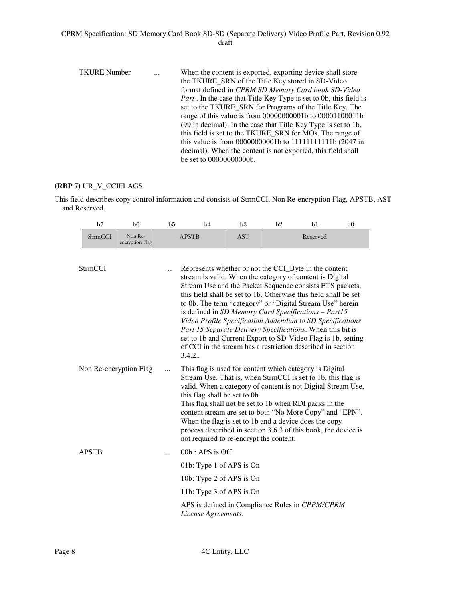| <b>TKURE</b> Number | <br>When the content is exported, exporting device shall store<br>the TKURE_SRN of the Title Key stored in SD-Video |
|---------------------|---------------------------------------------------------------------------------------------------------------------|
|                     | format defined in CPRM SD Memory Card book SD-Video                                                                 |
|                     | <i>Part</i> . In the case that Title Key Type is set to 0b, this field is                                           |
|                     | set to the TKURE_SRN for Programs of the Title Key. The                                                             |
|                     | range of this value is from 00000000001b to 00001100011b                                                            |
|                     | (99 in decimal). In the case that Title Key Type is set to 1b,                                                      |
|                     | this field is set to the TKURE_SRN for MOs. The range of                                                            |
|                     | this value is from $0000000001$ to $1111111111$ to $(2047)$ in                                                      |
|                     | decimal). When the content is not exported, this field shall                                                        |
|                     | be set to 000000000000.                                                                                             |

#### **(RBP 7)** UR\_V\_CCIFLAGS

This field describes copy control information and consists of StrmCCI, Non Re-encryption Flag, APSTB, AST and Reserved.

| b <sub>7</sub> | b6                         | bb | b4    | b3                    | b2 |          | bC |
|----------------|----------------------------|----|-------|-----------------------|----|----------|----|
| StrmCCI        | Non Re-<br>encryption Flag |    | APSTB | $\sqrt{CT}$<br>71 D I |    | Reserved |    |

| StrmCCI                |           | Represents whether or not the CCI_Byte in the content<br>stream is valid. When the category of content is Digital<br>Stream Use and the Packet Sequence consists ETS packets,<br>this field shall be set to 1b. Otherwise this field shall be set<br>to 0b. The term "category" or "Digital Stream Use" herein<br>is defined in SD Memory Card Specifications - Part15<br>Video Profile Specification Addendum to SD Specifications<br>Part 15 Separate Delivery Specifications. When this bit is<br>set to 1b and Current Export to SD-Video Flag is 1b, setting<br>of CCI in the stream has a restriction described in section<br>3.4.2 |
|------------------------|-----------|-------------------------------------------------------------------------------------------------------------------------------------------------------------------------------------------------------------------------------------------------------------------------------------------------------------------------------------------------------------------------------------------------------------------------------------------------------------------------------------------------------------------------------------------------------------------------------------------------------------------------------------------|
| Non Re-encryption Flag | $\ddotsc$ | This flag is used for content which category is Digital<br>Stream Use. That is, when StrmCCI is set to 1b, this flag is<br>valid. When a category of content is not Digital Stream Use,<br>this flag shall be set to 0b.<br>This flag shall not be set to 1b when RDI packs in the<br>content stream are set to both "No More Copy" and "EPN".<br>When the flag is set to 1b and a device does the copy<br>process described in section 3.6.3 of this book, the device is<br>not required to re-encrypt the content.                                                                                                                      |
| <b>APSTB</b>           |           | $00b$ : APS is Off                                                                                                                                                                                                                                                                                                                                                                                                                                                                                                                                                                                                                        |
|                        |           | 01b: Type 1 of APS is On                                                                                                                                                                                                                                                                                                                                                                                                                                                                                                                                                                                                                  |
|                        |           | 10b: Type 2 of APS is On                                                                                                                                                                                                                                                                                                                                                                                                                                                                                                                                                                                                                  |
|                        |           | 11b: Type 3 of APS is On                                                                                                                                                                                                                                                                                                                                                                                                                                                                                                                                                                                                                  |
|                        |           | APS is defined in Compliance Rules in CPPM/CPRM<br>License Agreements.                                                                                                                                                                                                                                                                                                                                                                                                                                                                                                                                                                    |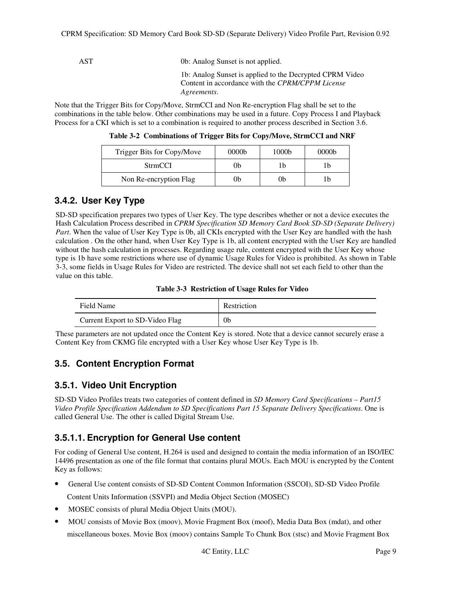AST 0b: Analog Sunset is not applied. 1b: Analog Sunset is applied to the Decrypted CPRM Video Content in accordance with the *CPRM/CPPM License Agreements*.

Note that the Trigger Bits for Copy/Move, StrmCCI and Non Re-encryption Flag shall be set to the combinations in the table below. Other combinations may be used in a future. Copy Process I and Playback Process for a CKI which is set to a combination is required to another process described in Section 3.6.

**Table 3-2 Combinations of Trigger Bits for Copy/Move, StrmCCI and NRF** 

| Trigger Bits for Copy/Move | 0000 <sub>b</sub> | 1000b | 0000 <sub>b</sub> |
|----------------------------|-------------------|-------|-------------------|
| <b>StrmCCI</b>             | .)h               | 1b    |                   |
| Non Re-encryption Flag     | .)b               | 0b    |                   |

## **3.4.2. User Key Type**

SD-SD specification prepares two types of User Key. The type describes whether or not a device executes the Hash Calculation Process described in *CPRM Specification SD Memory Card Book SD-SD (Separate Delivery) Part*. When the value of User Key Type is 0b, all CKIs encrypted with the User Key are handled with the hash calculation . On the other hand, when User Key Type is 1b, all content encrypted with the User Key are handled without the hash calculation in processes. Regarding usage rule, content encrypted with the User Key whose type is 1b have some restrictions where use of dynamic Usage Rules for Video is prohibited. As shown in Table 3-3, some fields in Usage Rules for Video are restricted. The device shall not set each field to other than the value on this table.

**Table 3-3 Restriction of Usage Rules for Video** 

| Field Name                      | Restriction |
|---------------------------------|-------------|
| Current Export to SD-Video Flag | 0b          |

These parameters are not updated once the Content Key is stored. Note that a device cannot securely erase a Content Key from CKMG file encrypted with a User Key whose User Key Type is 1b.

## **3.5. Content Encryption Format**

### **3.5.1. Video Unit Encryption**

SD-SD Video Profiles treats two categories of content defined in *SD Memory Card Specifications – Part15 Video Profile Specification Addendum to SD Specifications Part 15 Separate Delivery Specifications*. One is called General Use. The other is called Digital Stream Use.

## **3.5.1.1. Encryption for General Use content**

For coding of General Use content, H.264 is used and designed to contain the media information of an ISO/IEC 14496 presentation as one of the file format that contains plural MOUs. Each MOU is encrypted by the Content Key as follows:

- General Use content consists of SD-SD Content Common Information (SSCOI), SD-SD Video Profile Content Units Information (SSVPI) and Media Object Section (MOSEC)
- MOSEC consists of plural Media Object Units (MOU).
- MOU consists of Movie Box (moov), Movie Fragment Box (moof), Media Data Box (mdat), and other miscellaneous boxes. Movie Box (moov) contains Sample To Chunk Box (stsc) and Movie Fragment Box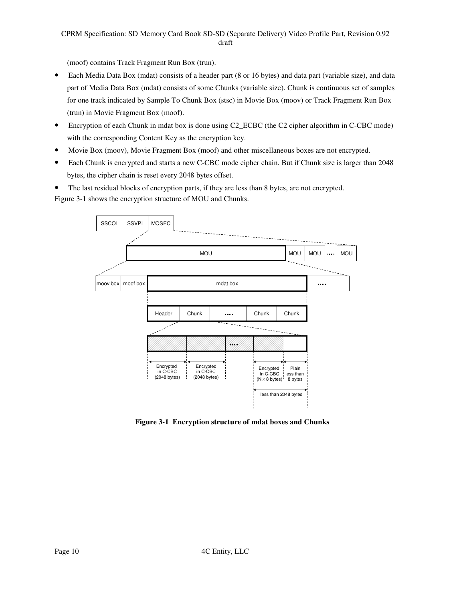(moof) contains Track Fragment Run Box (trun).

- Each Media Data Box (mdat) consists of a header part (8 or 16 bytes) and data part (variable size), and data part of Media Data Box (mdat) consists of some Chunks (variable size). Chunk is continuous set of samples for one track indicated by Sample To Chunk Box (stsc) in Movie Box (moov) or Track Fragment Run Box (trun) in Movie Fragment Box (moof).
- Encryption of each Chunk in mdat box is done using C2\_ECBC (the C2 cipher algorithm in C-CBC mode) with the corresponding Content Key as the encryption key.
- Movie Box (moov), Movie Fragment Box (moof) and other miscellaneous boxes are not encrypted.
- Each Chunk is encrypted and starts a new C-CBC mode cipher chain. But if Chunk size is larger than 2048 bytes, the cipher chain is reset every 2048 bytes offset.

• The last residual blocks of encryption parts, if they are less than 8 bytes, are not encrypted.

Figure 3-1 shows the encryption structure of MOU and Chunks.



**Figure 3-1 Encryption structure of mdat boxes and Chunks**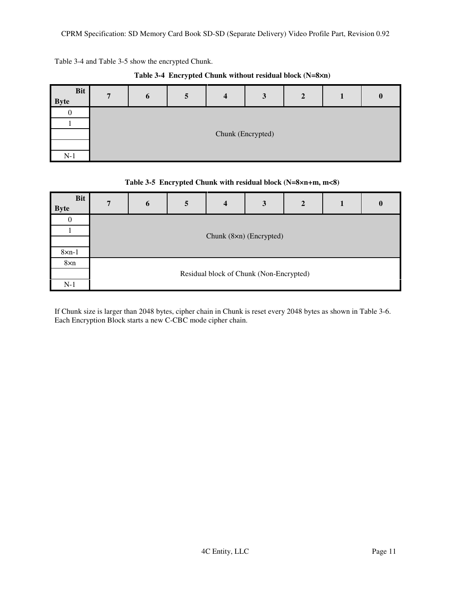Table 3-4 and Table 3-5 show the encrypted Chunk.

| <b>Bit</b><br><b>Byte</b> | ⇁ | $\mathbf b$ | Э |                   | 3 |  |  |
|---------------------------|---|-------------|---|-------------------|---|--|--|
|                           |   |             |   |                   |   |  |  |
|                           |   |             |   |                   |   |  |  |
|                           |   |             |   | Chunk (Encrypted) |   |  |  |
|                           |   |             |   |                   |   |  |  |
| $N-1$                     |   |             |   |                   |   |  |  |

**Table 3-4 Encrypted Chunk without residual block (N=8**×**n)** 

**Table 3-5 Encrypted Chunk with residual block (N=8×n+m, m<8)** 

| <b>Bit</b><br><b>Byte</b> | 7 | 6                                       | 5 | $\overline{\mathbf{4}}$ | 3 | $\overline{2}$ |  | $\boldsymbol{0}$ |  |  |
|---------------------------|---|-----------------------------------------|---|-------------------------|---|----------------|--|------------------|--|--|
| $\theta$                  |   |                                         |   |                         |   |                |  |                  |  |  |
|                           |   |                                         |   |                         |   |                |  |                  |  |  |
|                           |   | Chunk (8×n) (Encrypted)                 |   |                         |   |                |  |                  |  |  |
| $8\times n-1$             |   |                                         |   |                         |   |                |  |                  |  |  |
| $8\times n$               |   |                                         |   |                         |   |                |  |                  |  |  |
|                           |   | Residual block of Chunk (Non-Encrypted) |   |                         |   |                |  |                  |  |  |
| $N-1$                     |   |                                         |   |                         |   |                |  |                  |  |  |

If Chunk size is larger than 2048 bytes, cipher chain in Chunk is reset every 2048 bytes as shown in Table 3-6. Each Encryption Block starts a new C-CBC mode cipher chain.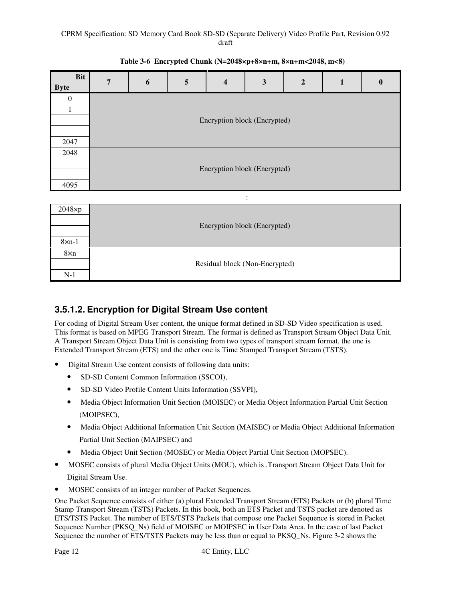#### CPRM Specification: SD Memory Card Book SD-SD (Separate Delivery) Video Profile Part, Revision 0.92 draft

| <b>Bit</b><br><b>Byte</b> | 7                            | 6 | 5 | 4 | 3 | $\mathbf{2}$ |  |  |  |  |
|---------------------------|------------------------------|---|---|---|---|--------------|--|--|--|--|
| $\theta$                  |                              |   |   |   |   |              |  |  |  |  |
|                           | Encryption block (Encrypted) |   |   |   |   |              |  |  |  |  |
|                           |                              |   |   |   |   |              |  |  |  |  |
| 2047                      |                              |   |   |   |   |              |  |  |  |  |
| 2048                      |                              |   |   |   |   |              |  |  |  |  |
|                           | Encryption block (Encrypted) |   |   |   |   |              |  |  |  |  |
|                           |                              |   |   |   |   |              |  |  |  |  |
| 4095                      |                              |   |   |   |   |              |  |  |  |  |

#### **Table 3-6 Encrypted Chunk (N=2048×p+8×n+m, 8×n+m<2048, m<8)**

| 2048xp        |                                |
|---------------|--------------------------------|
|               | Encryption block (Encrypted)   |
|               |                                |
| $8\times n-1$ |                                |
| $8\times n$   |                                |
|               | Residual block (Non-Encrypted) |
| $N-1$         |                                |

## **3.5.1.2. Encryption for Digital Stream Use content**

the contract of the contract of the contract of the contract of the contract of the contract of the contract of

For coding of Digital Stream User content, the unique format defined in SD-SD Video specification is used. This format is based on MPEG Transport Stream. The format is defined as Transport Stream Object Data Unit. A Transport Stream Object Data Unit is consisting from two types of transport stream format, the one is Extended Transport Stream (ETS) and the other one is Time Stamped Transport Stream (TSTS).

- Digital Stream Use content consists of following data units:
	- SD-SD Content Common Information (SSCOI),
	- SD-SD Video Profile Content Units Information (SSVPI),
	- Media Object Information Unit Section (MOISEC) or Media Object Information Partial Unit Section (MOIPSEC),
	- Media Object Additional Information Unit Section (MAISEC) or Media Object Additional Information Partial Unit Section (MAIPSEC) and
	- Media Object Unit Section (MOSEC) or Media Object Partial Unit Section (MOPSEC).
- MOSEC consists of plural Media Object Units (MOU), which is .Transport Stream Object Data Unit for Digital Stream Use.
- MOSEC consists of an integer number of Packet Sequences.

One Packet Sequence consists of either (a) plural Extended Transport Stream (ETS) Packets or (b) plural Time Stamp Transport Stream (TSTS) Packets. In this book, both an ETS Packet and TSTS packet are denoted as ETS/TSTS Packet. The number of ETS/TSTS Packets that compose one Packet Sequence is stored in Packet Sequence Number (PKSQ\_Ns) field of MOISEC or MOIPSEC in User Data Area. In the case of last Packet Sequence the number of ETS/TSTS Packets may be less than or equal to PKSQ\_Ns. Figure 3-2 shows the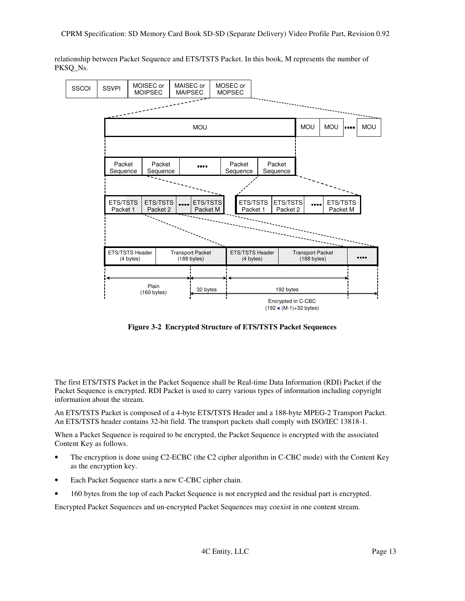SSCOI SSVPI MOISEC or MAISEC or MOSEC or MOIPSEC MAIPSEC MOPSEC MOU  $|...|$  MOU **MOU** MOU Packet Packet Packet Packet .... **Sequence Sequence** Sequence **Sequence** ETS/TSTS ETS/TSTS ETS/TSTS ETS/TSTS ETS/TSTS ETS/TSTS Packet 1 Packet M Packet 2 Packet M Packet 1 Packet 2 ETS/TSTS Header Transport Packet ETS/TSTS Header Transport Packet 44 (4 bytes) (188 bytes) (4 bytes) (188 bytes)Plain 192 bytes  $(160 \text{ bytes})$   $\frac{32 \text{ bytes}}{}$ Encrypted in C-CBC (192 × (M-1)+32 bytes)

relationship between Packet Sequence and ETS/TSTS Packet. In this book, M represents the number of PKSO Ns.

**Figure 3-2 Encrypted Structure of ETS/TSTS Packet Sequences** 

The first ETS/TSTS Packet in the Packet Sequence shall be Real-time Data Information (RDI) Packet if the Packet Sequence is encrypted. RDI Packet is used to carry various types of information including copyright information about the stream.

An ETS/TSTS Packet is composed of a 4-byte ETS/TSTS Header and a 188-byte MPEG-2 Transport Packet. An ETS/TSTS header contains 32-bit field. The transport packets shall comply with ISO/IEC 13818-1.

When a Packet Sequence is required to be encrypted, the Packet Sequence is encrypted with the associated Content Key as follows.

- The encryption is done using C2-ECBC (the C2 cipher algorithm in C-CBC mode) with the Content Key as the encryption key.
- Each Packet Sequence starts a new C-CBC cipher chain.
- 160 bytes from the top of each Packet Sequence is not encrypted and the residual part is encrypted.

Encrypted Packet Sequences and un-encrypted Packet Sequences may coexist in one content stream.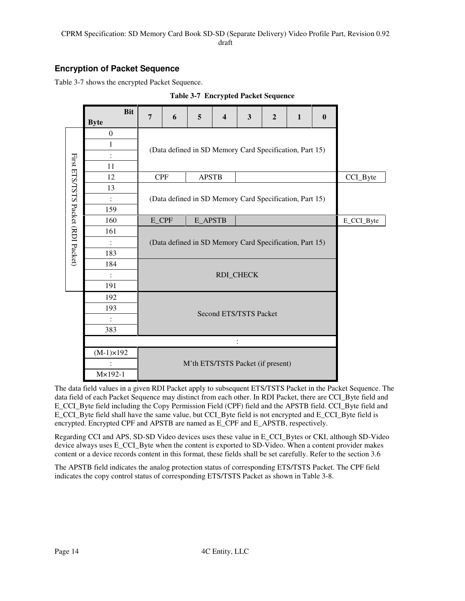### **Encryption of Packet Sequence**

Table 3-7 shows the encrypted Packet Sequence.

|                                    | <b>Bit</b><br><b>Byte</b>          | $\overline{7}$                                          | 6                                                       | 5              | $\overline{\mathbf{4}}$ | 3                      | $\overline{2}$ | $\mathbf{1}$ | $\boldsymbol{0}$ |            |  |  |
|------------------------------------|------------------------------------|---------------------------------------------------------|---------------------------------------------------------|----------------|-------------------------|------------------------|----------------|--------------|------------------|------------|--|--|
|                                    | $\boldsymbol{0}$                   |                                                         |                                                         |                |                         |                        |                |              |                  |            |  |  |
|                                    | 1                                  |                                                         |                                                         |                |                         |                        |                |              |                  |            |  |  |
|                                    |                                    |                                                         | (Data defined in SD Memory Card Specification, Part 15) |                |                         |                        |                |              |                  |            |  |  |
| First ETS/TSTS Packet (RDI Packet) | 11                                 |                                                         |                                                         |                |                         |                        |                |              |                  |            |  |  |
|                                    | 12                                 | CPF                                                     |                                                         | <b>APSTB</b>   |                         |                        |                |              | CCI_Byte         |            |  |  |
|                                    | 13                                 |                                                         |                                                         |                |                         |                        |                |              |                  |            |  |  |
|                                    |                                    |                                                         | (Data defined in SD Memory Card Specification, Part 15) |                |                         |                        |                |              |                  |            |  |  |
|                                    | 159                                |                                                         |                                                         |                |                         |                        |                |              |                  |            |  |  |
|                                    | 160                                | E_CPF                                                   |                                                         | <b>E_APSTB</b> |                         |                        |                |              |                  | E_CCI_Byte |  |  |
|                                    | 161                                |                                                         |                                                         |                |                         |                        |                |              |                  |            |  |  |
|                                    |                                    | (Data defined in SD Memory Card Specification, Part 15) |                                                         |                |                         |                        |                |              |                  |            |  |  |
|                                    | 183                                |                                                         |                                                         |                |                         |                        |                |              |                  |            |  |  |
|                                    | 184                                |                                                         |                                                         |                |                         |                        |                |              |                  |            |  |  |
|                                    | <b>RDI_CHECK</b><br>$\ddot{\cdot}$ |                                                         |                                                         |                |                         |                        |                |              |                  |            |  |  |
|                                    | 191                                |                                                         |                                                         |                |                         |                        |                |              |                  |            |  |  |
|                                    | 192                                |                                                         |                                                         |                |                         |                        |                |              |                  |            |  |  |
|                                    | 193                                |                                                         |                                                         |                |                         | Second ETS/TSTS Packet |                |              |                  |            |  |  |
|                                    |                                    |                                                         |                                                         |                |                         |                        |                |              |                  |            |  |  |
|                                    | 383                                |                                                         |                                                         |                |                         |                        |                |              |                  |            |  |  |
|                                    |                                    |                                                         |                                                         |                |                         |                        |                |              |                  |            |  |  |
|                                    | $(M-1) \times 192$                 |                                                         |                                                         |                |                         |                        |                |              |                  |            |  |  |
|                                    |                                    |                                                         | M'th ETS/TSTS Packet (if present)                       |                |                         |                        |                |              |                  |            |  |  |
|                                    | $M \times 192 - 1$                 |                                                         |                                                         |                |                         |                        |                |              |                  |            |  |  |

**Table 3-7 Encrypted Packet Sequence** 

The data field values in a given RDI Packet apply to subsequent ETS/TSTS Packet in the Packet Sequence. The data field of each Packet Sequence may distinct from each other. In RDI Packet, there are CCI\_Byte field and E\_CCI\_Byte field including the Copy Permission Field (CPF) field and the APSTB field. CCI\_Byte field and E\_CCI\_Byte field shall have the same value, but CCI\_Byte field is not encrypted and E\_CCI\_Byte field is encrypted. Encrypted CPF and APSTB are named as E\_CPF and E\_APSTB, respectively.

Regarding CCI and APS, SD-SD Video devices uses these value in E\_CCI\_Bytes or CKI, although SD-Video device always uses E\_CCI\_Byte when the content is exported to SD-Video. When a content provider makes content or a device records content in this format, these fields shall be set carefully. Refer to the section 3.6

The APSTB field indicates the analog protection status of corresponding ETS/TSTS Packet. The CPF field indicates the copy control status of corresponding ETS/TSTS Packet as shown in Table 3-8.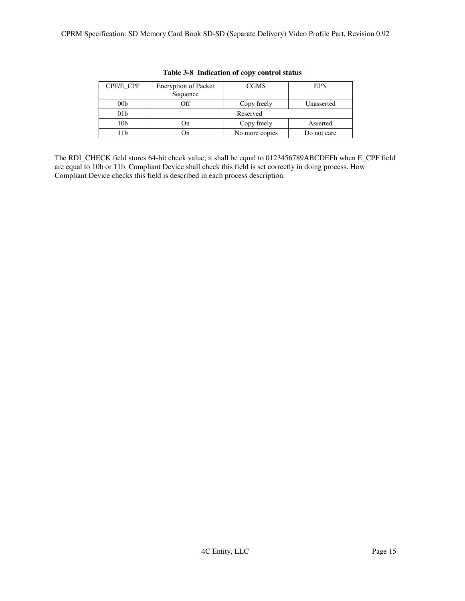| CPF/E CPF | Encryption of Packet<br>Sequence | <b>CGMS</b>    | <b>EPN</b>  |
|-----------|----------------------------------|----------------|-------------|
| 00b       | Off                              | Copy freely    | Unasserted  |
| 01b       |                                  | Reserved       |             |
| 10b       | On                               | Copy freely    | Asserted    |
| 1b        | Эn                               | No more copies | Do not care |

| Table 3-8 Indication of copy control status |  |
|---------------------------------------------|--|
|---------------------------------------------|--|

The RDI\_CHECK field stores 64-bit check value, it shall be equal to 0123456789ABCDEFh when E\_CPF field are equal to 10b or 11b. Compliant Device shall check this field is set correctly in doing process. How Compliant Device checks this field is described in each process description.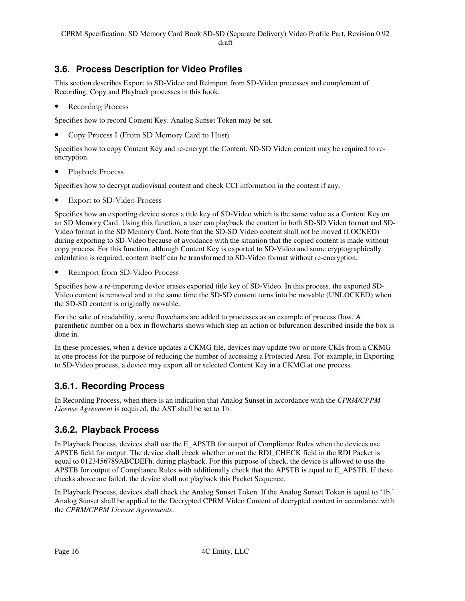## **3.6. Process Description for Video Profiles**

This section describes Export to SD-Video and Reimport from SD-Video processes and complement of Recording, Copy and Playback processes in this book.

• Recording Process

Specifies how to record Content Key. Analog Sunset Token may be set.

• Copy Process I (From SD Memory Card to Host)

Specifies how to copy Content Key and re-encrypt the Content. SD-SD Video content may be required to reencryption.

Playback Process

Specifies how to decrypt audiovisual content and check CCI information in the content if any.

• Export to SD-Video Process

Specifies how an exporting device stores a title key of SD-Video which is the same value as a Content Key on an SD Memory Card. Using this function, a user can playback the content in both SD-SD Video format and SD-Video format in the SD Memory Card. Note that the SD-SD Video content shall not be moved (LOCKED) during exporting to SD-Video because of avoidance with the situation that the copied content is made without copy process. For this function, although Content Key is exported to SD-Video and some cryptographically calculation is required, content itself can be transformed to SD-Video format without re-encryption.

• Reimport from SD-Video Process

Specifies how a re-importing device erases exported title key of SD-Video. In this process, the exported SD-Video content is removed and at the same time the SD-SD content turns into be movable (UNLOCKED) when the SD-SD content is originally movable.

For the sake of readability, some flowcharts are added to processes as an example of process flow. A parenthetic number on a box in flowcharts shows which step an action or bifurcation described inside the box is done in.

In these processes, when a device updates a CKMG file, devices may update two or more CKIs from a CKMG at one process for the purpose of reducing the number of accessing a Protected Area. For example, in Exporting to SD-Video process, a device may export all or selected Content Key in a CKMG at one process.

## **3.6.1. Recording Process**

In Recording Process, when there is an indication that Analog Sunset in accordance with the *CPRM/CPPM License Agreement* is required, the AST shall be set to 1b.

### **3.6.2. Playback Process**

In Playback Process, devices shall use the E\_APSTB for output of Compliance Rules when the devices use APSTB field for output. The device shall check whether or not the RDI\_CHECK field in the RDI Packet is equal to 0123456789ABCDEFh, during playback. For this purpose of check, the device is allowed to use the APSTB for output of Compliance Rules with additionally check that the APSTB is equal to E\_APSTB. If these checks above are failed, the device shall not playback this Packet Sequence.

In Playback Process, devices shall check the Analog Sunset Token. If the Analog Sunset Token is equal to '1b,' Analog Sunset shall be applied to the Decrypted CPRM Video Content of decrypted content in accordance with the *CPRM/CPPM License Agreements*.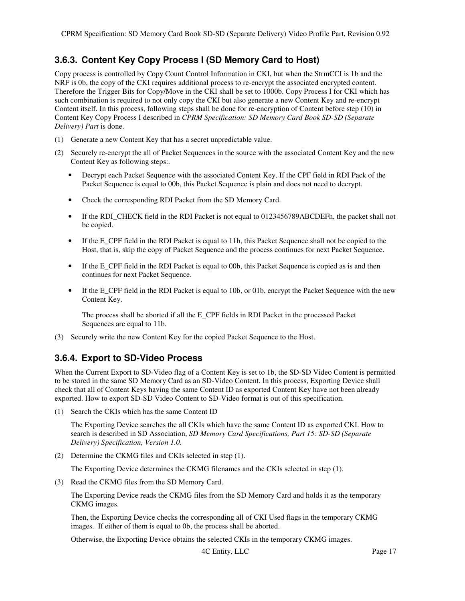## **3.6.3. Content Key Copy Process I (SD Memory Card to Host)**

Copy process is controlled by Copy Count Control Information in CKI, but when the StrmCCI is 1b and the NRF is 0b, the copy of the CKI requires additional process to re-encrypt the associated encrypted content. Therefore the Trigger Bits for Copy/Move in the CKI shall be set to 1000b. Copy Process I for CKI which has such combination is required to not only copy the CKI but also generate a new Content Key and re-encrypt Content itself. In this process, following steps shall be done for re-encryption of Content before step (10) in Content Key Copy Process I described in *CPRM Specification: SD Memory Card Book SD-SD (Separate Delivery) Part* is done.

- (1) Generate a new Content Key that has a secret unpredictable value.
- (2) Securely re-encrypt the all of Packet Sequences in the source with the associated Content Key and the new Content Key as following steps:.
	- Decrypt each Packet Sequence with the associated Content Key. If the CPF field in RDI Pack of the Packet Sequence is equal to 00b, this Packet Sequence is plain and does not need to decrypt.
	- Check the corresponding RDI Packet from the SD Memory Card.
	- If the RDI\_CHECK field in the RDI Packet is not equal to 0123456789ABCDEFh, the packet shall not be copied.
	- If the E\_CPF field in the RDI Packet is equal to 11b, this Packet Sequence shall not be copied to the Host, that is, skip the copy of Packet Sequence and the process continues for next Packet Sequence.
	- If the E\_CPF field in the RDI Packet is equal to 00b, this Packet Sequence is copied as is and then continues for next Packet Sequence.
	- $\bullet$  If the E CPF field in the RDI Packet is equal to 10b, or 01b, encrypt the Packet Sequence with the new Content Key.

The process shall be aborted if all the E\_CPF fields in RDI Packet in the processed Packet Sequences are equal to 11b.

(3) Securely write the new Content Key for the copied Packet Sequence to the Host.

## **3.6.4. Export to SD-Video Process**

When the Current Export to SD-Video flag of a Content Key is set to 1b, the SD-SD Video Content is permitted to be stored in the same SD Memory Card as an SD-Video Content. In this process, Exporting Device shall check that all of Content Keys having the same Content ID as exported Content Key have not been already exported. How to export SD-SD Video Content to SD-Video format is out of this specification.

(1) Search the CKIs which has the same Content ID

The Exporting Device searches the all CKIs which have the same Content ID as exported CKI. How to search is described in SD Association, *SD Memory Card Specifications, Part 15: SD-SD (Separate Delivery) Specification, Version 1.0*.

(2) Determine the CKMG files and CKIs selected in step (1).

The Exporting Device determines the CKMG filenames and the CKIs selected in step (1).

(3) Read the CKMG files from the SD Memory Card.

The Exporting Device reads the CKMG files from the SD Memory Card and holds it as the temporary CKMG images.

Then, the Exporting Device checks the corresponding all of CKI Used flags in the temporary CKMG images. If either of them is equal to 0b, the process shall be aborted.

Otherwise, the Exporting Device obtains the selected CKIs in the temporary CKMG images.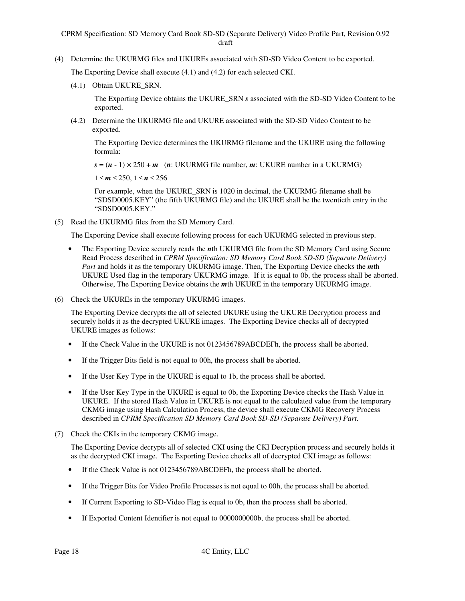(4) Determine the UKURMG files and UKUREs associated with SD-SD Video Content to be exported.

The Exporting Device shall execute (4.1) and (4.2) for each selected CKI.

(4.1) Obtain UKURE\_SRN.

The Exporting Device obtains the UKURE\_SRN *s* associated with the SD-SD Video Content to be exported.

(4.2) Determine the UKURMG file and UKURE associated with the SD-SD Video Content to be exported.

The Exporting Device determines the UKURMG filename and the UKURE using the following formula:

 $s = (n - 1) \times 250 + m$  (*n*: UKURMG file number, *m*: UKURE number in a UKURMG)

1 ≤ *m* ≤ 250, 1 ≤ *n* ≤ 256

For example, when the UKURE\_SRN is 1020 in decimal, the UKURMG filename shall be "SDSD0005.KEY" (the fifth UKURMG file) and the UKURE shall be the twentieth entry in the "SDSD0005.KEY."

(5) Read the UKURMG files from the SD Memory Card.

The Exporting Device shall execute following process for each UKURMG selected in previous step.

- The Exporting Device securely reads the *n*th UKURMG file from the SD Memory Card using Secure Read Process described in *CPRM Specification: SD Memory Card Book SD-SD (Separate Delivery) Part* and holds it as the temporary UKURMG image. Then, The Exporting Device checks the *m*th UKURE Used flag in the temporary UKURMG image. If it is equal to 0b, the process shall be aborted. Otherwise, The Exporting Device obtains the *m*th UKURE in the temporary UKURMG image.
- (6) Check the UKUREs in the temporary UKURMG images.

The Exporting Device decrypts the all of selected UKURE using the UKURE Decryption process and securely holds it as the decrypted UKURE images. The Exporting Device checks all of decrypted UKURE images as follows:

- If the Check Value in the UKURE is not 0123456789ABCDEFh, the process shall be aborted.
- If the Trigger Bits field is not equal to 00h, the process shall be aborted.
- If the User Key Type in the UKURE is equal to 1b, the process shall be aborted.
- If the User Key Type in the UKURE is equal to 0b, the Exporting Device checks the Hash Value in UKURE. If the stored Hash Value in UKURE is not equal to the calculated value from the temporary CKMG image using Hash Calculation Process, the device shall execute CKMG Recovery Process described in *CPRM Specification SD Memory Card Book SD-SD (Separate Delivery) Part*.
- (7) Check the CKIs in the temporary CKMG image.

The Exporting Device decrypts all of selected CKI using the CKI Decryption process and securely holds it as the decrypted CKI image. The Exporting Device checks all of decrypted CKI image as follows:

- If the Check Value is not 0123456789ABCDEFh, the process shall be aborted.
- If the Trigger Bits for Video Profile Processes is not equal to 00h, the process shall be aborted.
- If Current Exporting to SD-Video Flag is equal to 0b, then the process shall be aborted.
- If Exported Content Identifier is not equal to 0000000000b, the process shall be aborted.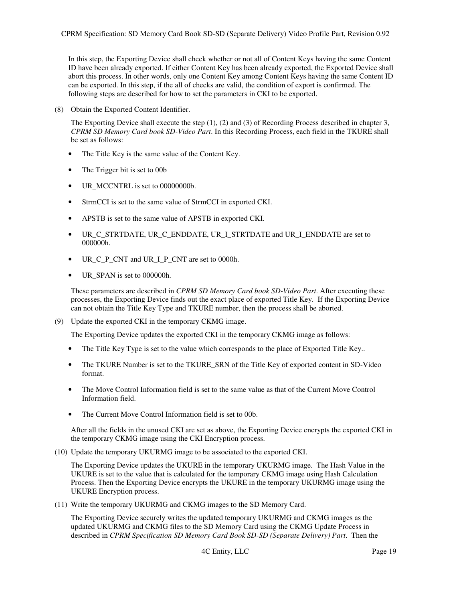In this step, the Exporting Device shall check whether or not all of Content Keys having the same Content ID have been already exported. If either Content Key has been already exported, the Exported Device shall abort this process. In other words, only one Content Key among Content Keys having the same Content ID can be exported. In this step, if the all of checks are valid, the condition of export is confirmed. The following steps are described for how to set the parameters in CKI to be exported.

(8) Obtain the Exported Content Identifier.

The Exporting Device shall execute the step (1), (2) and (3) of Recording Process described in chapter 3, *CPRM SD Memory Card book SD-Video Part*. In this Recording Process, each field in the TKURE shall be set as follows:

- The Title Key is the same value of the Content Key.
- The Trigger bit is set to 00b
- UR\_MCCNTRL is set to 000000000b.
- StrmCCI is set to the same value of StrmCCI in exported CKI.
- APSTB is set to the same value of APSTB in exported CKI.
- UR\_C\_STRTDATE, UR\_C\_ENDDATE, UR\_I\_STRTDATE and UR\_I\_ENDDATE are set to 000000h.
- UR\_C\_P\_CNT and UR\_I\_P\_CNT are set to 0000h.
- UR\_SPAN is set to 000000h.

These parameters are described in *CPRM SD Memory Card book SD-Video Part*. After executing these processes, the Exporting Device finds out the exact place of exported Title Key. If the Exporting Device can not obtain the Title Key Type and TKURE number, then the process shall be aborted.

(9) Update the exported CKI in the temporary CKMG image.

The Exporting Device updates the exported CKI in the temporary CKMG image as follows:

- The Title Key Type is set to the value which corresponds to the place of Exported Title Key..
- The TKURE Number is set to the TKURE\_SRN of the Title Key of exported content in SD-Video format.
- The Move Control Information field is set to the same value as that of the Current Move Control Information field.
- The Current Move Control Information field is set to 00b.

After all the fields in the unused CKI are set as above, the Exporting Device encrypts the exported CKI in the temporary CKMG image using the CKI Encryption process.

(10) Update the temporary UKURMG image to be associated to the exported CKI.

The Exporting Device updates the UKURE in the temporary UKURMG image. The Hash Value in the UKURE is set to the value that is calculated for the temporary CKMG image using Hash Calculation Process. Then the Exporting Device encrypts the UKURE in the temporary UKURMG image using the UKURE Encryption process.

(11) Write the temporary UKURMG and CKMG images to the SD Memory Card.

The Exporting Device securely writes the updated temporary UKURMG and CKMG images as the updated UKURMG and CKMG files to the SD Memory Card using the CKMG Update Process in described in *CPRM Specification SD Memory Card Book SD-SD (Separate Delivery) Part*. Then the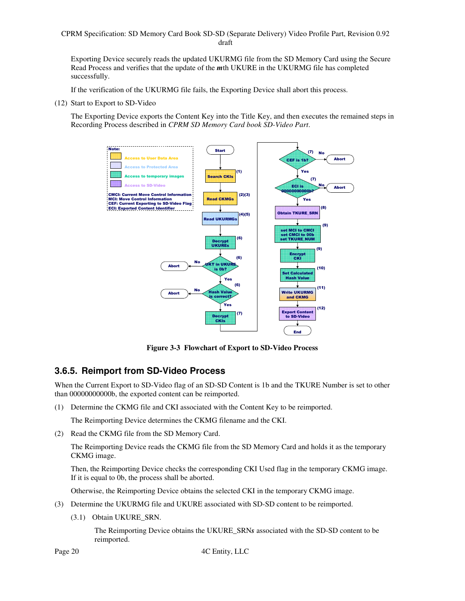#### CPRM Specification: SD Memory Card Book SD-SD (Separate Delivery) Video Profile Part, Revision 0.92 draft

Exporting Device securely reads the updated UKURMG file from the SD Memory Card using the Secure Read Process and verifies that the update of the *m*th UKURE in the UKURMG file has completed successfully.

If the verification of the UKURMG file fails, the Exporting Device shall abort this process.

(12) Start to Export to SD-Video

The Exporting Device exports the Content Key into the Title Key, and then executes the remained steps in Recording Process described in *CPRM SD Memory Card book SD-Video Part*.



**Figure 3-3 Flowchart of Export to SD-Video Process**

#### **3.6.5. Reimport from SD-Video Process**

When the Current Export to SD-Video flag of an SD-SD Content is 1b and the TKURE Number is set to other than 00000000000b, the exported content can be reimported.

(1) Determine the CKMG file and CKI associated with the Content Key to be reimported.

The Reimporting Device determines the CKMG filename and the CKI.

(2) Read the CKMG file from the SD Memory Card.

The Reimporting Device reads the CKMG file from the SD Memory Card and holds it as the temporary CKMG image.

Then, the Reimporting Device checks the corresponding CKI Used flag in the temporary CKMG image. If it is equal to 0b, the process shall be aborted.

Otherwise, the Reimporting Device obtains the selected CKI in the temporary CKMG image.

- (3) Determine the UKURMG file and UKURE associated with SD-SD content to be reimported.
	- (3.1) Obtain UKURE\_SRN.

The Reimporting Device obtains the UKURE\_SRN*s* associated with the SD-SD content to be reimported.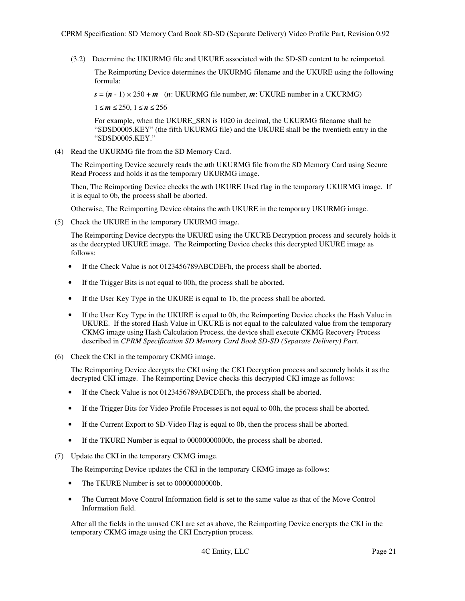(3.2) Determine the UKURMG file and UKURE associated with the SD-SD content to be reimported.

The Reimporting Device determines the UKURMG filename and the UKURE using the following formula:

 $s = (n - 1) \times 250 + m$  (*n*: UKURMG file number, *m*: UKURE number in a UKURMG)

1 ≤ *m* ≤ 250, 1 ≤ *n* ≤ 256

For example, when the UKURE\_SRN is 1020 in decimal, the UKURMG filename shall be "SDSD0005.KEY" (the fifth UKURMG file) and the UKURE shall be the twentieth entry in the "SDSD0005.KEY."

(4) Read the UKURMG file from the SD Memory Card.

The Reimporting Device securely reads the *n*th UKURMG file from the SD Memory Card using Secure Read Process and holds it as the temporary UKURMG image.

Then, The Reimporting Device checks the *m*th UKURE Used flag in the temporary UKURMG image. If it is equal to 0b, the process shall be aborted.

Otherwise, The Reimporting Device obtains the *m*th UKURE in the temporary UKURMG image.

(5) Check the UKURE in the temporary UKURMG image.

The Reimporting Device decrypts the UKURE using the UKURE Decryption process and securely holds it as the decrypted UKURE image. The Reimporting Device checks this decrypted UKURE image as follows:

- If the Check Value is not 0123456789ABCDEFh, the process shall be aborted.
- If the Trigger Bits is not equal to 00h, the process shall be aborted.
- If the User Key Type in the UKURE is equal to 1b, the process shall be aborted.
- If the User Key Type in the UKURE is equal to 0b, the Reimporting Device checks the Hash Value in UKURE. If the stored Hash Value in UKURE is not equal to the calculated value from the temporary CKMG image using Hash Calculation Process, the device shall execute CKMG Recovery Process described in *CPRM Specification SD Memory Card Book SD-SD (Separate Delivery) Part*.
- (6) Check the CKI in the temporary CKMG image.

The Reimporting Device decrypts the CKI using the CKI Decryption process and securely holds it as the decrypted CKI image. The Reimporting Device checks this decrypted CKI image as follows:

- If the Check Value is not 0123456789ABCDEFh, the process shall be aborted.
- If the Trigger Bits for Video Profile Processes is not equal to 00h, the process shall be aborted.
- If the Current Export to SD-Video Flag is equal to 0b, then the process shall be aborted.
- If the TKURE Number is equal to 000000000000b, the process shall be aborted.
- (7) Update the CKI in the temporary CKMG image.

The Reimporting Device updates the CKI in the temporary CKMG image as follows:

- The TKURE Number is set to 0000000000000.
- The Current Move Control Information field is set to the same value as that of the Move Control Information field.

After all the fields in the unused CKI are set as above, the Reimporting Device encrypts the CKI in the temporary CKMG image using the CKI Encryption process.